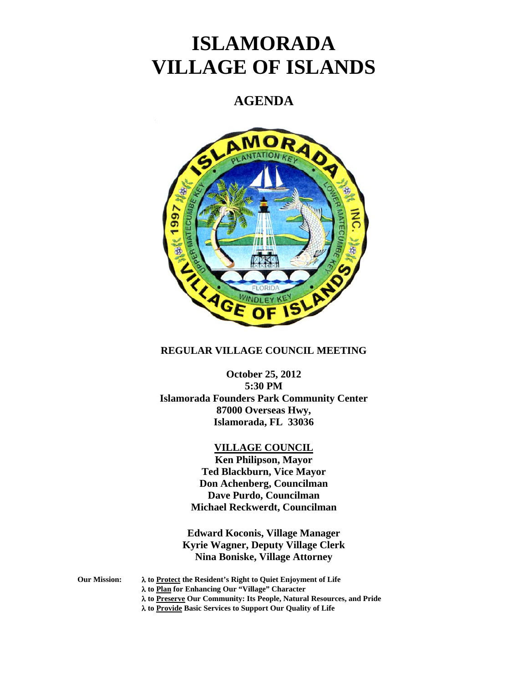# **ISLAMORADA VILLAGE OF ISLANDS**

# **AGENDA**



#### **REGULAR VILLAGE COUNCIL MEETING**

**October 25, 2012 5:30 PM Islamorada Founders Park Community Center 87000 Overseas Hwy, Islamorada, FL 33036** 

## **VILLAGE COUNCIL**

**Ken Philipson, Mayor Ted Blackburn, Vice Mayor Don Achenberg, Councilman Dave Purdo, Councilman Michael Reckwerdt, Councilman** 

**Edward Koconis, Village Manager Kyrie Wagner, Deputy Village Clerk Nina Boniske, Village Attorney** 

**Our Mission: to Protect the Resident's Right to Quiet Enjoyment of Life** 

- **to Plan for Enhancing Our "Village" Character**
- **to Preserve Our Community: Its People, Natural Resources, and Pride**

 **to Provide Basic Services to Support Our Quality of Life**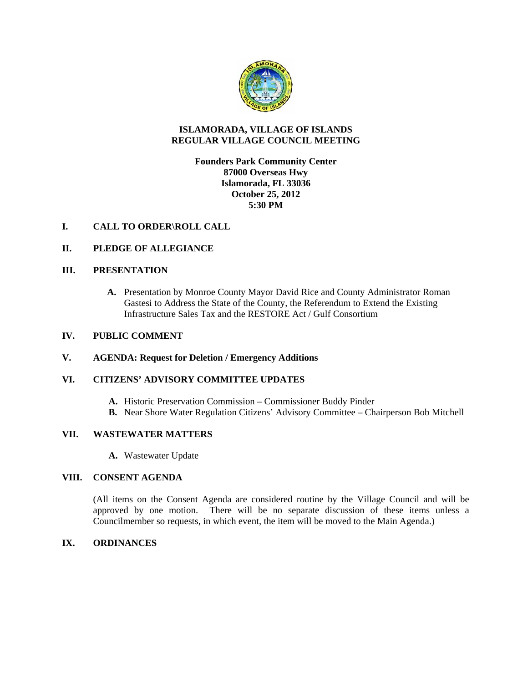

#### **ISLAMORADA, VILLAGE OF ISLANDS REGULAR VILLAGE COUNCIL MEETING**

## **Founders Park Community Center 87000 Overseas Hwy Islamorada, FL 33036 October 25, 2012 5:30 PM**

#### **I. CALL TO ORDER\ROLL CALL**

#### **II. PLEDGE OF ALLEGIANCE**

#### **III. PRESENTATION**

**A.** Presentation by Monroe County Mayor David Rice and County Administrator Roman Gastesi to Address the State of the County, the Referendum to Extend the Existing Infrastructure Sales Tax and the RESTORE Act / Gulf Consortium

#### **IV. PUBLIC COMMENT**

#### **V. AGENDA: Request for Deletion / Emergency Additions**

#### **VI. CITIZENS' ADVISORY COMMITTEE UPDATES**

- **A.** Historic Preservation Commission Commissioner Buddy Pinder
- **B.** Near Shore Water Regulation Citizens' Advisory Committee Chairperson Bob Mitchell

#### **VII. WASTEWATER MATTERS**

**A.** Wastewater Update

#### **VIII. CONSENT AGENDA**

(All items on the Consent Agenda are considered routine by the Village Council and will be approved by one motion. There will be no separate discussion of these items unless a Councilmember so requests, in which event, the item will be moved to the Main Agenda.)

#### **IX. ORDINANCES**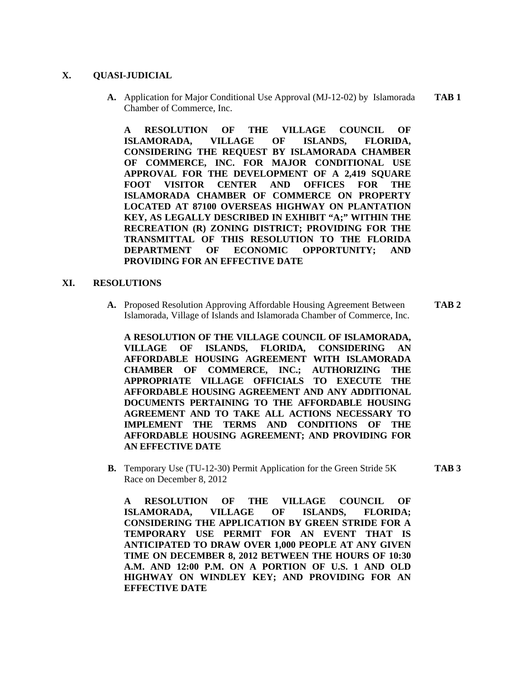#### **X. QUASI-JUDICIAL**

**A.** Application for Major Conditional Use Approval (MJ-12-02) by Islamorada **TAB 1**  Chamber of Commerce, Inc.

**A RESOLUTION OF THE VILLAGE COUNCIL OF ISLAMORADA, VILLAGE OF ISLANDS, FLORIDA, CONSIDERING THE REQUEST BY ISLAMORADA CHAMBER OF COMMERCE, INC. FOR MAJOR CONDITIONAL USE APPROVAL FOR THE DEVELOPMENT OF A 2,419 SQUARE FOOT VISITOR CENTER AND OFFICES FOR THE ISLAMORADA CHAMBER OF COMMERCE ON PROPERTY LOCATED AT 87100 OVERSEAS HIGHWAY ON PLANTATION KEY, AS LEGALLY DESCRIBED IN EXHIBIT "A;" WITHIN THE RECREATION (R) ZONING DISTRICT; PROVIDING FOR THE TRANSMITTAL OF THIS RESOLUTION TO THE FLORIDA DEPARTMENT OF ECONOMIC OPPORTUNITY; AND PROVIDING FOR AN EFFECTIVE DATE** 

#### **XI. RESOLUTIONS**

**A.** Proposed Resolution Approving Affordable Housing Agreement Between **TAB 2** Islamorada, Village of Islands and Islamorada Chamber of Commerce, Inc.

**A RESOLUTION OF THE VILLAGE COUNCIL OF ISLAMORADA, VILLAGE OF ISLANDS, FLORIDA, CONSIDERING AN AFFORDABLE HOUSING AGREEMENT WITH ISLAMORADA CHAMBER OF COMMERCE, INC.; AUTHORIZING THE APPROPRIATE VILLAGE OFFICIALS TO EXECUTE THE AFFORDABLE HOUSING AGREEMENT AND ANY ADDITIONAL DOCUMENTS PERTAINING TO THE AFFORDABLE HOUSING AGREEMENT AND TO TAKE ALL ACTIONS NECESSARY TO IMPLEMENT THE TERMS AND CONDITIONS OF THE AFFORDABLE HOUSING AGREEMENT; AND PROVIDING FOR AN EFFECTIVE DATE** 

**B.** Temporary Use (TU-12-30) Permit Application for the Green Stride 5K **TAB 3** Race on December 8, 2012

**A RESOLUTION OF THE VILLAGE COUNCIL OF ISLAMORADA, VILLAGE OF ISLANDS, FLORIDA; CONSIDERING THE APPLICATION BY GREEN STRIDE FOR A TEMPORARY USE PERMIT FOR AN EVENT THAT IS ANTICIPATED TO DRAW OVER 1,000 PEOPLE AT ANY GIVEN TIME ON DECEMBER 8, 2012 BETWEEN THE HOURS OF 10:30 A.M. AND 12:00 P.M. ON A PORTION OF U.S. 1 AND OLD HIGHWAY ON WINDLEY KEY; AND PROVIDING FOR AN EFFECTIVE DATE**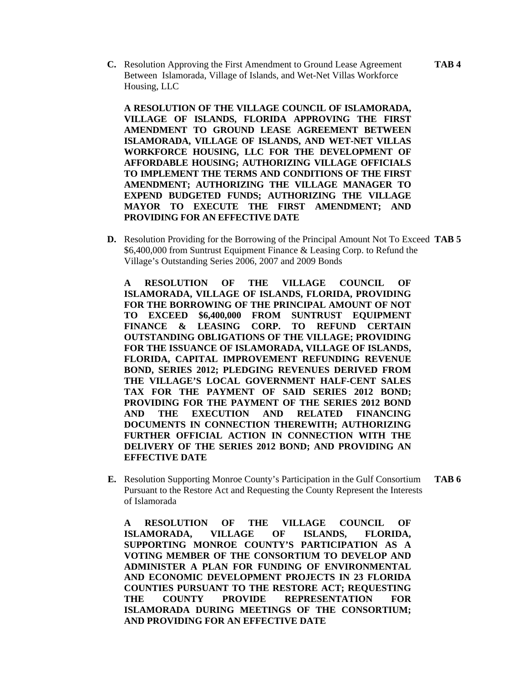**C.** Resolution Approving the First Amendment to Ground Lease Agreement **TAB 4** Between Islamorada, Village of Islands, and Wet-Net Villas Workforce Housing, LLC

**A RESOLUTION OF THE VILLAGE COUNCIL OF ISLAMORADA, VILLAGE OF ISLANDS, FLORIDA APPROVING THE FIRST AMENDMENT TO GROUND LEASE AGREEMENT BETWEEN ISLAMORADA, VILLAGE OF ISLANDS, AND WET-NET VILLAS WORKFORCE HOUSING, LLC FOR THE DEVELOPMENT OF AFFORDABLE HOUSING; AUTHORIZING VILLAGE OFFICIALS TO IMPLEMENT THE TERMS AND CONDITIONS OF THE FIRST AMENDMENT; AUTHORIZING THE VILLAGE MANAGER TO EXPEND BUDGETED FUNDS; AUTHORIZING THE VILLAGE MAYOR TO EXECUTE THE FIRST AMENDMENT; AND PROVIDING FOR AN EFFECTIVE DATE** 

**D.** Resolution Providing for the Borrowing of the Principal Amount Not To Exceed **TAB 5**  \$6,400,000 from Suntrust Equipment Finance & Leasing Corp. to Refund the Village's Outstanding Series 2006, 2007 and 2009 Bonds

**A RESOLUTION OF THE VILLAGE COUNCIL OF ISLAMORADA, VILLAGE OF ISLANDS, FLORIDA, PROVIDING FOR THE BORROWING OF THE PRINCIPAL AMOUNT OF NOT TO EXCEED \$6,400,000 FROM SUNTRUST EQUIPMENT FINANCE & LEASING CORP. TO REFUND CERTAIN OUTSTANDING OBLIGATIONS OF THE VILLAGE; PROVIDING FOR THE ISSUANCE OF ISLAMORADA, VILLAGE OF ISLANDS, FLORIDA, CAPITAL IMPROVEMENT REFUNDING REVENUE BOND, SERIES 2012; PLEDGING REVENUES DERIVED FROM THE VILLAGE'S LOCAL GOVERNMENT HALF-CENT SALES TAX FOR THE PAYMENT OF SAID SERIES 2012 BOND; PROVIDING FOR THE PAYMENT OF THE SERIES 2012 BOND AND THE EXECUTION AND RELATED FINANCING DOCUMENTS IN CONNECTION THEREWITH; AUTHORIZING FURTHER OFFICIAL ACTION IN CONNECTION WITH THE DELIVERY OF THE SERIES 2012 BOND; AND PROVIDING AN EFFECTIVE DATE** 

**E.** Resolution Supporting Monroe County's Participation in the Gulf Consortium **TAB 6** Pursuant to the Restore Act and Requesting the County Represent the Interests of Islamorada

**A RESOLUTION OF THE VILLAGE COUNCIL OF ISLAMORADA, VILLAGE OF ISLANDS, FLORIDA, SUPPORTING MONROE COUNTY'S PARTICIPATION AS A VOTING MEMBER OF THE CONSORTIUM TO DEVELOP AND ADMINISTER A PLAN FOR FUNDING OF ENVIRONMENTAL AND ECONOMIC DEVELOPMENT PROJECTS IN 23 FLORIDA COUNTIES PURSUANT TO THE RESTORE ACT; REQUESTING THE COUNTY PROVIDE REPRESENTATION FOR ISLAMORADA DURING MEETINGS OF THE CONSORTIUM; AND PROVIDING FOR AN EFFECTIVE DATE**